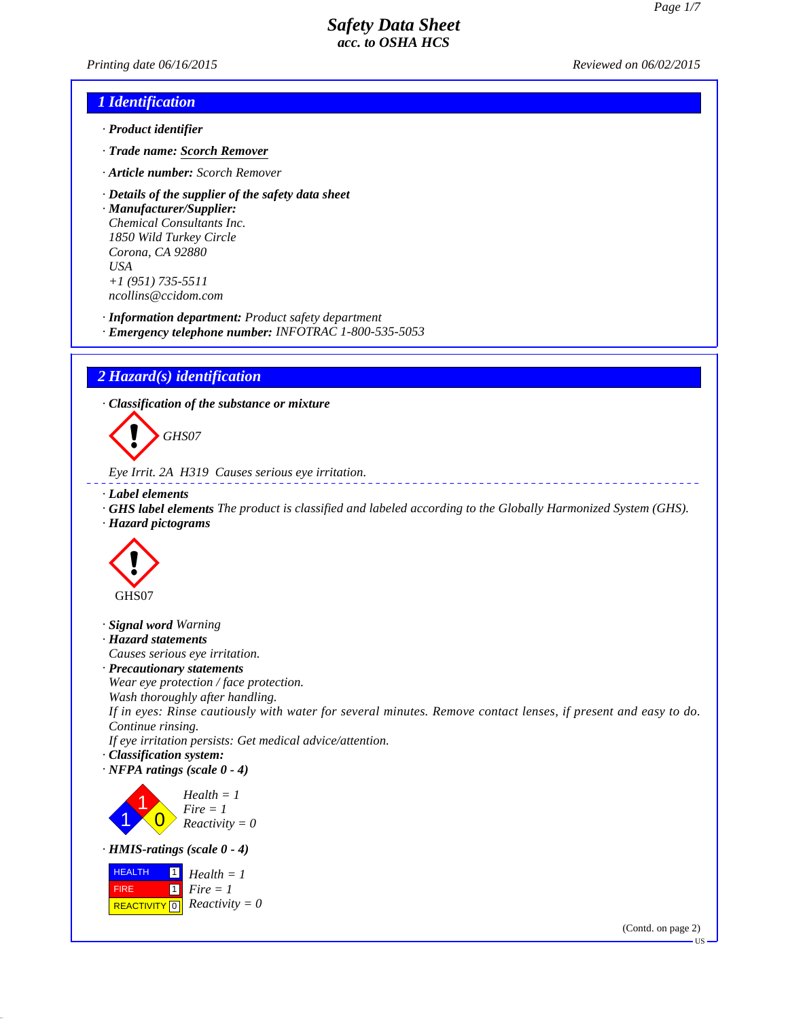*Printing date 06/16/2015 Reviewed on 06/02/2015*

## *1 Identification*

- *· Product identifier*
- *· Trade name: Scorch Remover*
- *· Article number: Scorch Remover*
- *· Details of the supplier of the safety data sheet*

*· Manufacturer/Supplier: Chemical Consultants Inc. 1850 Wild Turkey Circle Corona, CA 92880 USA +1 (951) 735-5511 ncollins@ccidom.com*

*· Information department: Product safety department*

*· Emergency telephone number: INFOTRAC 1-800-535-5053*

# *2 Hazard(s) identification*

*· Classification of the substance or mixture*

d~*GHS07*

```
Eye Irrit. 2A H319 Causes serious eye irritation.
```
*· Label elements*

- *· GHS label elements The product is classified and labeled according to the Globally Harmonized System (GHS).*
- *· Hazard pictograms*



- *· Signal word Warning*
- *· Hazard statements*
- *Causes serious eye irritation.*
- *· Precautionary statements*
- *Wear eye protection / face protection.*
- *Wash thoroughly after handling.*

*If in eyes: Rinse cautiously with water for several minutes. Remove contact lenses, if present and easy to do. Continue rinsing.*

*If eye irritation persists: Get medical advice/attention.*

- *· Classification system:*
- *· NFPA ratings (scale 0 4)*

1 1  $\overline{\mathbf{0}}$ *Health = 1 Fire = 1 Reactivity = 0*

*· HMIS-ratings (scale 0 - 4)*



(Contd. on page 2)

US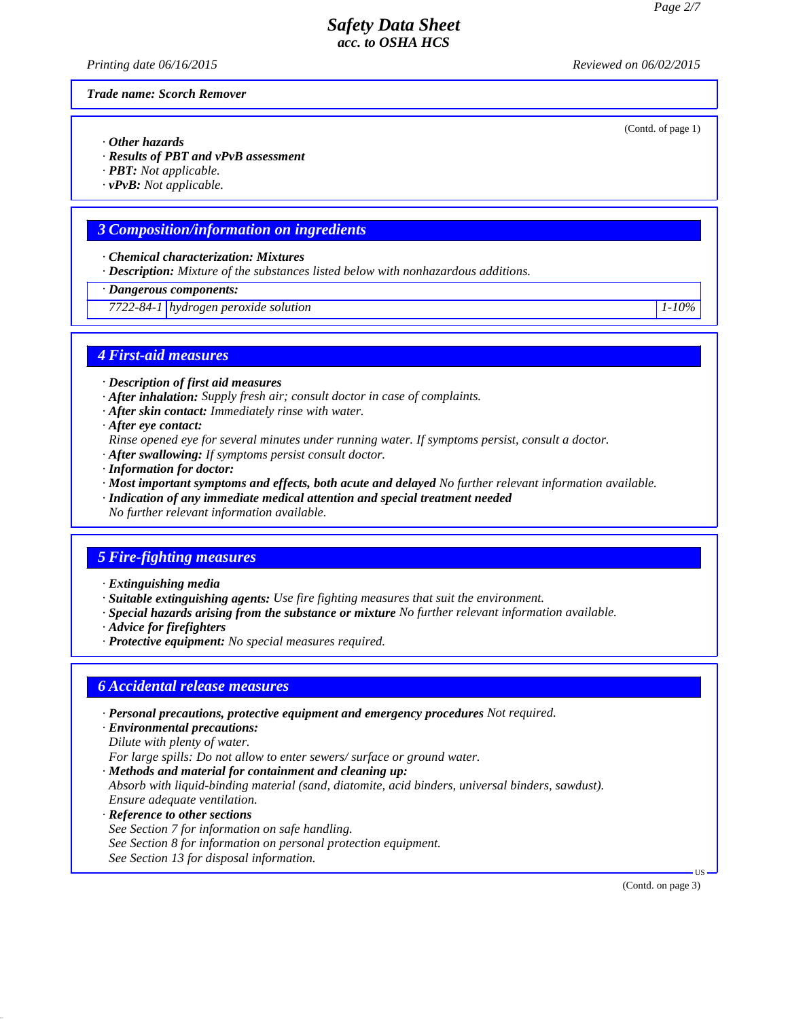*Printing date 06/16/2015 Reviewed on 06/02/2015*

(Contd. of page 1)

*Trade name: Scorch Remover*

- *· Other hazards*
- *· Results of PBT and vPvB assessment*
- *· PBT: Not applicable.*
- *· vPvB: Not applicable.*

# *3 Composition/information on ingredients*

- *· Chemical characterization: Mixtures*
- *· Description: Mixture of the substances listed below with nonhazardous additions.*
- *· Dangerous components:*
- *7722-84-1 hydrogen peroxide solution 1-10%*

*4 First-aid measures*

- *· Description of first aid measures*
- *· After inhalation: Supply fresh air; consult doctor in case of complaints.*
- *· After skin contact: Immediately rinse with water.*
- *· After eye contact:*
- *Rinse opened eye for several minutes under running water. If symptoms persist, consult a doctor.*
- *· After swallowing: If symptoms persist consult doctor.*
- *· Information for doctor:*
- *· Most important symptoms and effects, both acute and delayed No further relevant information available.*
- *· Indication of any immediate medical attention and special treatment needed*
- *No further relevant information available.*

# *5 Fire-fighting measures*

- *· Extinguishing media*
- *· Suitable extinguishing agents: Use fire fighting measures that suit the environment.*
- *· Special hazards arising from the substance or mixture No further relevant information available.*
- *· Advice for firefighters*
- *· Protective equipment: No special measures required.*

### *6 Accidental release measures*

- *· Personal precautions, protective equipment and emergency procedures Not required.*
- *· Environmental precautions: Dilute with plenty of water.*

*For large spills: Do not allow to enter sewers/ surface or ground water.*

- *· Methods and material for containment and cleaning up: Absorb with liquid-binding material (sand, diatomite, acid binders, universal binders, sawdust). Ensure adequate ventilation.*
- *· Reference to other sections See Section 7 for information on safe handling. See Section 8 for information on personal protection equipment. See Section 13 for disposal information.*

(Contd. on page 3)

US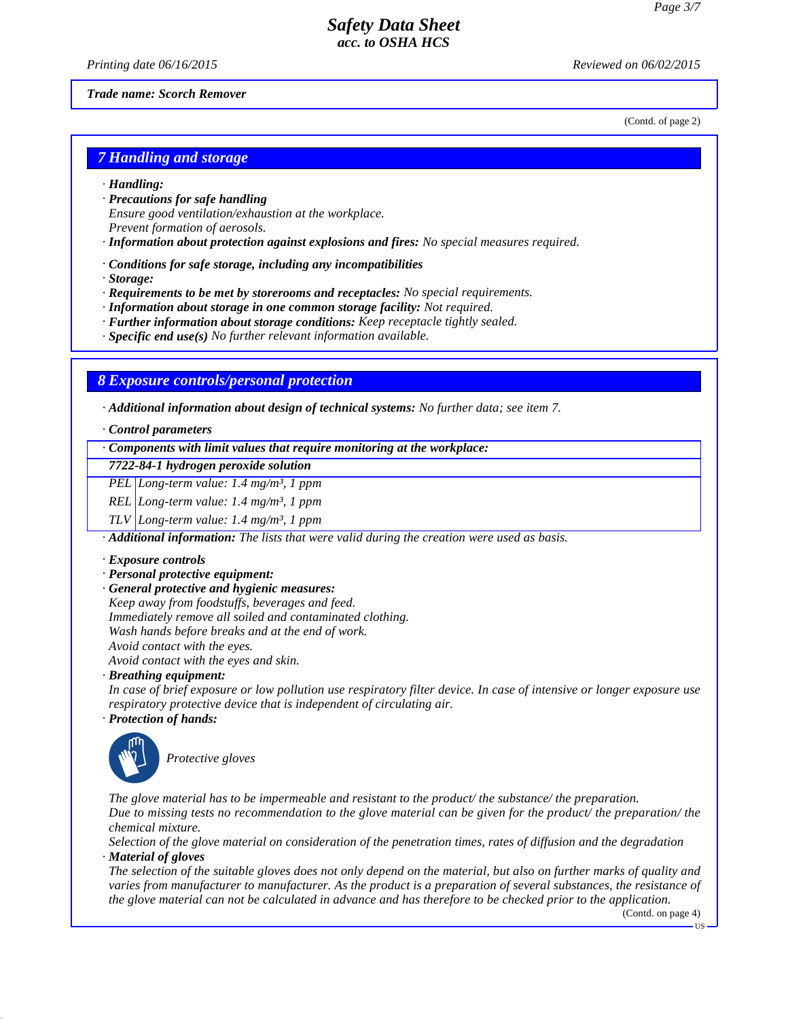*Printing date 06/16/2015 Reviewed on 06/02/2015*

(Contd. of page 2)

#### *Trade name: Scorch Remover*

*7 Handling and storage*

- *· Handling:*
- *· Precautions for safe handling Ensure good ventilation/exhaustion at the workplace. Prevent formation of aerosols.*
- *· Information about protection against explosions and fires: No special measures required.*
- *· Conditions for safe storage, including any incompatibilities*
- *· Storage:*
- *· Requirements to be met by storerooms and receptacles: No special requirements.*
- *· Information about storage in one common storage facility: Not required.*
- *· Further information about storage conditions: Keep receptacle tightly sealed.*
- *· Specific end use(s) No further relevant information available.*

#### *8 Exposure controls/personal protection*

*· Additional information about design of technical systems: No further data; see item 7.*

- *· Control parameters*
- *· Components with limit values that require monitoring at the workplace:*

#### *7722-84-1 hydrogen peroxide solution*

*PEL Long-term value: 1.4 mg/m³, 1 ppm*

*REL Long-term value: 1.4 mg/m³, 1 ppm*

*TLV Long-term value: 1.4 mg/m³, 1 ppm*

*· Additional information: The lists that were valid during the creation were used as basis.*

#### *· Exposure controls*

- *· Personal protective equipment:*
- *· General protective and hygienic measures:*

*Keep away from foodstuffs, beverages and feed.*

*Immediately remove all soiled and contaminated clothing.*

*Wash hands before breaks and at the end of work.*

*Avoid contact with the eyes. Avoid contact with the eyes and skin.*

*· Breathing equipment:*

*In case of brief exposure or low pollution use respiratory filter device. In case of intensive or longer exposure use respiratory protective device that is independent of circulating air.*

#### *· Protection of hands:*



**Protective gloves** 

*The glove material has to be impermeable and resistant to the product/ the substance/ the preparation. Due to missing tests no recommendation to the glove material can be given for the product/ the preparation/ the chemical mixture.*

*Selection of the glove material on consideration of the penetration times, rates of diffusion and the degradation · Material of gloves*

*The selection of the suitable gloves does not only depend on the material, but also on further marks of quality and varies from manufacturer to manufacturer. As the product is a preparation of several substances, the resistance of the glove material can not be calculated in advance and has therefore to be checked prior to the application.*

(Contd. on page 4)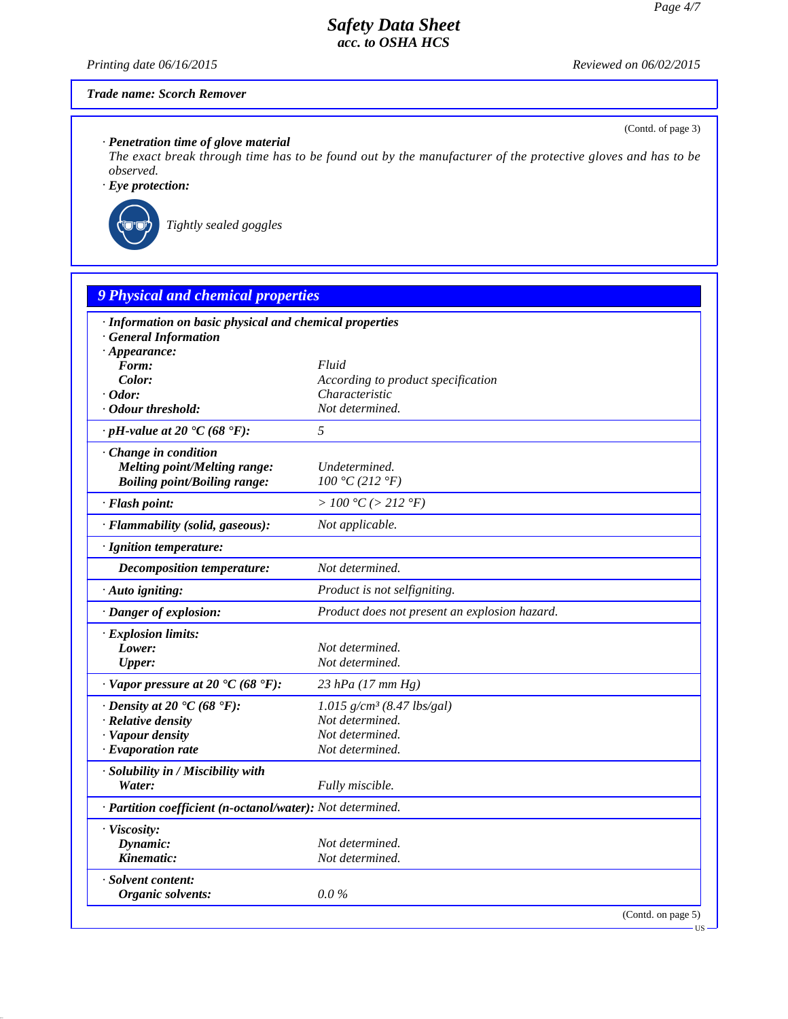*Printing date 06/16/2015 Reviewed on 06/02/2015*

(Contd. of page 3)

US

## *Trade name: Scorch Remover*

*· Penetration time of glove material*

*The exact break through time has to be found out by the manufacturer of the protective gloves and has to be observed.*

*· Eye protection:*



`R*Tightly sealed goggles*

| · Information on basic physical and chemical properties    |                                               |  |
|------------------------------------------------------------|-----------------------------------------------|--|
| <b>General Information</b>                                 |                                               |  |
| $\cdot$ Appearance:<br>Form:                               | Fluid                                         |  |
| Color:                                                     | According to product specification            |  |
| $\cdot$ Odor:                                              | Characteristic                                |  |
| $\cdot$ Odour threshold:                                   | Not determined.                               |  |
| $\cdot$ pH-value at 20 $\cdot$ C (68 $\cdot$ F):           | 5                                             |  |
| Change in condition                                        |                                               |  |
| <b>Melting point/Melting range:</b>                        | Undetermined.                                 |  |
| <b>Boiling point/Boiling range:</b>                        | 100 °C (212 °F)                               |  |
| · Flash point:                                             | > 100 °C (> 212 °F)                           |  |
| · Flammability (solid, gaseous):                           | Not applicable.                               |  |
| · Ignition temperature:                                    |                                               |  |
| Decomposition temperature:                                 | Not determined.                               |  |
| · Auto igniting:                                           | Product is not selfigniting.                  |  |
| · Danger of explosion:                                     | Product does not present an explosion hazard. |  |
| · Explosion limits:                                        |                                               |  |
| Lower:                                                     | Not determined.                               |  |
| <b>Upper:</b>                                              | Not determined.                               |  |
| $\cdot$ Vapor pressure at 20 $\cdot$ C (68 $\cdot$ F):     | 23 hPa $(17 \, \text{mm Hg})$                 |  |
| $\cdot$ Density at 20 $\cdot$ C (68 $\cdot$ F):            | $1.015$ g/cm <sup>3</sup> (8.47 lbs/gal)      |  |
| $\cdot$ Relative density                                   | Not determined.                               |  |
| · Vapour density                                           | Not determined.                               |  |
| $\cdot$ Evaporation rate                                   | Not determined.                               |  |
| · Solubility in / Miscibility with                         |                                               |  |
| Water:                                                     | Fully miscible.                               |  |
| · Partition coefficient (n-octanol/water): Not determined. |                                               |  |
| · Viscosity:                                               |                                               |  |
| Dynamic:                                                   | Not determined.                               |  |
| Kinematic:                                                 | Not determined.                               |  |
| · Solvent content:                                         |                                               |  |
| Organic solvents:                                          | $0.0\%$                                       |  |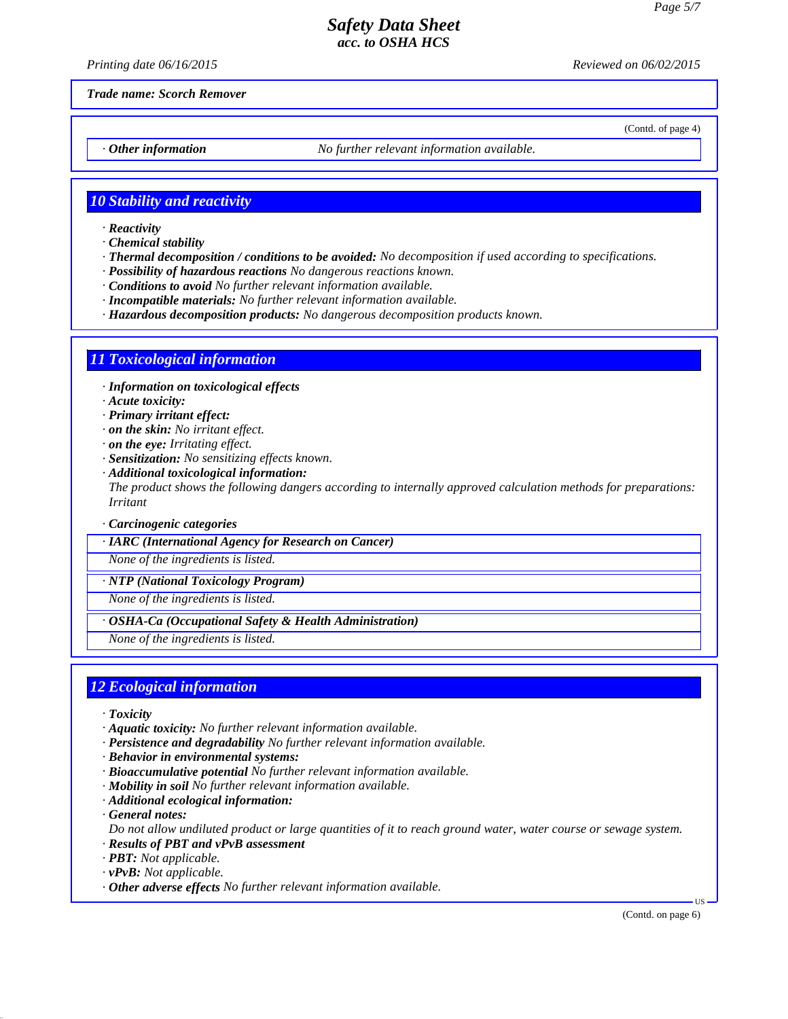*Printing date 06/16/2015 Reviewed on 06/02/2015*

(Contd. of page 4)

*Trade name: Scorch Remover*

*· Other information No further relevant information available.*

### *10 Stability and reactivity*

- *· Reactivity*
- *· Chemical stability*
- *· Thermal decomposition / conditions to be avoided: No decomposition if used according to specifications.*
- *· Possibility of hazardous reactions No dangerous reactions known.*
- *· Conditions to avoid No further relevant information available.*
- *· Incompatible materials: No further relevant information available.*
- *· Hazardous decomposition products: No dangerous decomposition products known.*

### *11 Toxicological information*

*· Information on toxicological effects*

- *· Acute toxicity:*
- *· Primary irritant effect:*
- *· on the skin: No irritant effect.*
- *· on the eye: Irritating effect.*
- *· Sensitization: No sensitizing effects known.*
- *· Additional toxicological information: The product shows the following dangers according to internally approved calculation methods for preparations: Irritant*

*· Carcinogenic categories*

*· IARC (International Agency for Research on Cancer)*

*None of the ingredients is listed.*

*· NTP (National Toxicology Program)*

*None of the ingredients is listed.*

*· OSHA-Ca (Occupational Safety & Health Administration)*

*None of the ingredients is listed.*

### *12 Ecological information*

- *· Toxicity*
- *· Aquatic toxicity: No further relevant information available.*
- *· Persistence and degradability No further relevant information available.*
- *· Behavior in environmental systems:*
- *· Bioaccumulative potential No further relevant information available.*
- *· Mobility in soil No further relevant information available.*
- *· Additional ecological information:*

*· General notes:*

*Do not allow undiluted product or large quantities of it to reach ground water, water course or sewage system. · Results of PBT and vPvB assessment*

- *· PBT: Not applicable.*
- *· vPvB: Not applicable.*
- *· Other adverse effects No further relevant information available.*

(Contd. on page 6)

US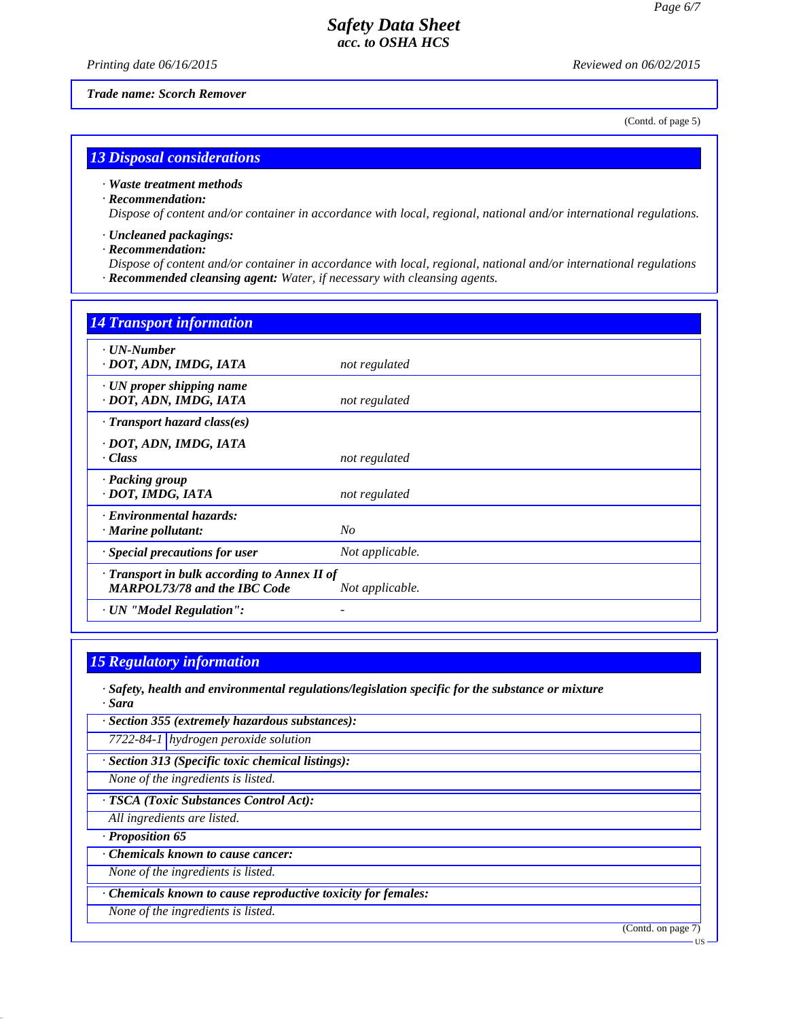*Printing date 06/16/2015 Reviewed on 06/02/2015*

*Trade name: Scorch Remover*

(Contd. of page 5)

### *13 Disposal considerations*

#### *· Waste treatment methods*

#### *· Recommendation:*

*Dispose of content and/or container in accordance with local, regional, national and/or international regulations.*

- *· Uncleaned packagings:*
- *· Recommendation:*

*Dispose of content and/or container in accordance with local, regional, national and/or international regulations · Recommended cleansing agent: Water, if necessary with cleansing agents.*

| <b>14 Transport information</b>                                                     |                 |
|-------------------------------------------------------------------------------------|-----------------|
| · UN-Number<br>· DOT, ADN, IMDG, IATA                                               | not regulated   |
| $\cdot$ UN proper shipping name<br>· DOT, ADN, IMDG, IATA                           | not regulated   |
| $\cdot$ Transport hazard class(es)                                                  |                 |
| · DOT, ADN, IMDG, IATA<br>$\cdot Class$                                             | not regulated   |
| · Packing group<br>· DOT, IMDG, IATA                                                | not regulated   |
| · Environmental hazards:<br>· Marine pollutant:                                     | $N_{O}$         |
| · Special precautions for user                                                      | Not applicable. |
| · Transport in bulk according to Annex II of<br><b>MARPOL73/78 and the IBC Code</b> | Not applicable. |
| · UN "Model Regulation":                                                            |                 |

# *15 Regulatory information*

*· Safety, health and environmental regulations/legislation specific for the substance or mixture · Sara*

*· Section 355 (extremely hazardous substances):*

*7722-84-1 hydrogen peroxide solution*

*· Section 313 (Specific toxic chemical listings):*

*None of the ingredients is listed.*

### *· TSCA (Toxic Substances Control Act):*

*All ingredients are listed.*

*· Proposition 65*

*· Chemicals known to cause cancer:*

*None of the ingredients is listed.*

*· Chemicals known to cause reproductive toxicity for females:*

*None of the ingredients is listed.*

(Contd. on page 7)

US